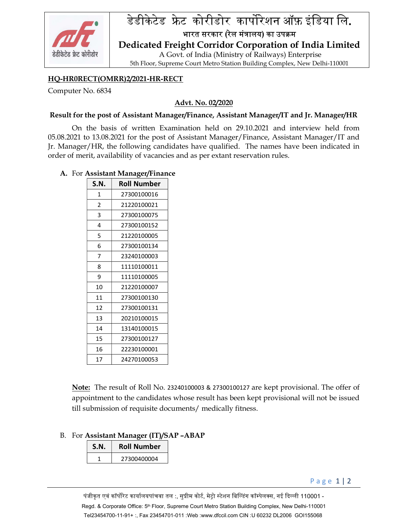

# डेडीकेटेड फ्रेट कोरीडोर कार्पोरेशन ऑफ़ इंडिया लि.

भारत सरकार (रेल मंत्रालय) का उपक्रम Dedicated Freight Corridor Corporation of India Limited

 A Govt. of India (Ministry of Railways) Enterprise 5th Floor, Supreme Court Metro Station Building Complex, New Delhi-110001

## HQ-HR0RECT(OMRR)2/2021-HR-RECT

Computer No. 6834

## Advt. No. 02/2020

### Result for the post of Assistant Manager/Finance, Assistant Manager/IT and Jr. Manager/HR

On the basis of written Examination held on 29.10.2021 and interview held from 05.08.2021 to 13.08.2021 for the post of Assistant Manager/Finance, Assistant Manager/IT and Jr. Manager/HR, the following candidates have qualified. The names have been indicated in order of merit, availability of vacancies and as per extant reservation rules.

### A. For Assistant Manager/Finance

| S.N. | Roll Number |
|------|-------------|
| 1    | 27300100016 |
| 2    | 21220100021 |
| 3    | 27300100075 |
| 4    | 27300100152 |
| 5    | 21220100005 |
| 6    | 27300100134 |
| 7    | 23240100003 |
| 8    | 11110100011 |
| ٩    | 11110100005 |
| 10   | 21220100007 |
| 11   | 27300100130 |
| 12   | 27300100131 |
| 13   | 20210100015 |
| 14   | 13140100015 |
| 15   | 27300100127 |
| 16   | 22230100001 |
| 17   | 24270100053 |

Note: The result of Roll No. 23240100003 & 27300100127 are kept provisional. The offer of appointment to the candidates whose result has been kept provisional will not be issued till submission of requisite documents/ medically fitness.

### B. For Assistant Manager (IT)/SAP –ABAP

| S.N. | <b>Roll Number</b> |
|------|--------------------|
|      | 27300400004        |

P a g e 1 | 2

पंजीकृत एवं कॉर्पोरेट कार्यालयपांचवा तल :, सुप्रीम कोर्ट, मेट्रो स्टेशन बिल्डिंग कॉम्पेलक्स, नई दिल्ली 110001 -Regd. & Corporate Office: 5<sup>th</sup> Floor, Supreme Court Metro Station Building Complex, New Delhi-110001 Tel23454700-11-91+ :, Fax 23454701 -011 :Web :www.dfccil.com CIN :U 60232 DL2006 GOI155068